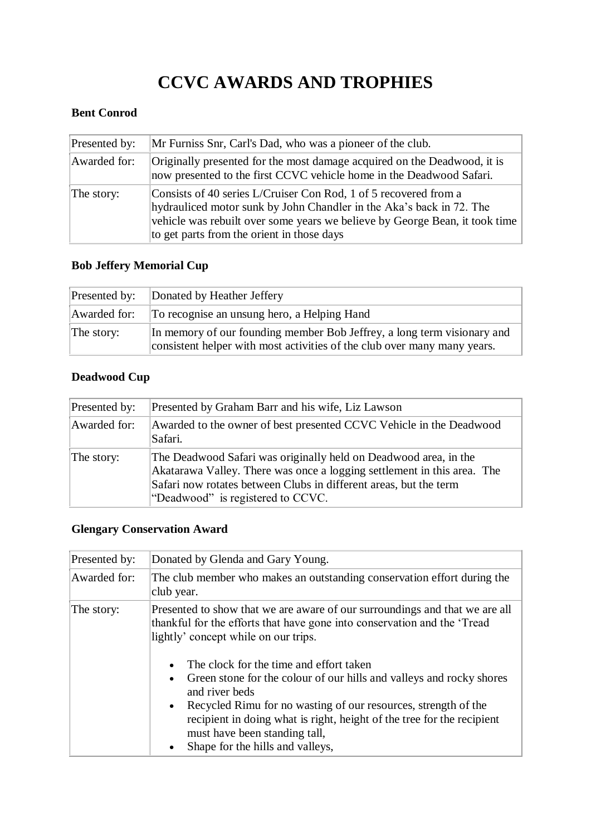# **CCVC AWARDS AND TROPHIES**

#### **Bent Conrod**

| Presented by: | Mr Furniss Snr, Carl's Dad, who was a pioneer of the club.                                                                                                                                                                                                            |
|---------------|-----------------------------------------------------------------------------------------------------------------------------------------------------------------------------------------------------------------------------------------------------------------------|
| Awarded for:  | Originally presented for the most damage acquired on the Deadwood, it is<br>now presented to the first CCVC vehicle home in the Deadwood Safari.                                                                                                                      |
| The story:    | Consists of 40 series L/Cruiser Con Rod, 1 of 5 recovered from a<br>hydrauliced motor sunk by John Chandler in the Aka's back in 72. The<br>vehicle was rebuilt over some years we believe by George Bean, it took time<br>to get parts from the orient in those days |

#### **Bob Jeffery Memorial Cup**

| Presented by: | Donated by Heather Jeffery                                                                                                                          |
|---------------|-----------------------------------------------------------------------------------------------------------------------------------------------------|
| Awarded for:  | To recognise an unsung hero, a Helping Hand                                                                                                         |
| The story:    | In memory of our founding member Bob Jeffrey, a long term visionary and<br>consistent helper with most activities of the club over many many years. |

## **Deadwood Cup**

| Presented by: | Presented by Graham Barr and his wife, Liz Lawson                                                                                                                                                                                                     |
|---------------|-------------------------------------------------------------------------------------------------------------------------------------------------------------------------------------------------------------------------------------------------------|
| Awarded for:  | Awarded to the owner of best presented CCVC Vehicle in the Deadwood<br>Safari.                                                                                                                                                                        |
| The story:    | The Deadwood Safari was originally held on Deadwood area, in the<br>Akatarawa Valley. There was once a logging settlement in this area. The<br>Safari now rotates between Clubs in different areas, but the term<br>"Deadwood" is registered to CCVC. |

#### **Glengary Conservation Award**

| Presented by: | Donated by Glenda and Gary Young.                                                                                                                                                                                                                                                                                                                                                                                                                                                                                                                                                              |
|---------------|------------------------------------------------------------------------------------------------------------------------------------------------------------------------------------------------------------------------------------------------------------------------------------------------------------------------------------------------------------------------------------------------------------------------------------------------------------------------------------------------------------------------------------------------------------------------------------------------|
| Awarded for:  | The club member who makes an outstanding conservation effort during the<br>club year.                                                                                                                                                                                                                                                                                                                                                                                                                                                                                                          |
| The story:    | Presented to show that we are aware of our surroundings and that we are all<br>thankful for the efforts that have gone into conservation and the 'Tread<br>lightly' concept while on our trips.<br>The clock for the time and effort taken<br>$\bullet$<br>Green stone for the colour of our hills and valleys and rocky shores<br>$\bullet$<br>and river beds<br>• Recycled Rimu for no wasting of our resources, strength of the<br>recipient in doing what is right, height of the tree for the recipient<br>must have been standing tall,<br>Shape for the hills and valleys,<br>$\bullet$ |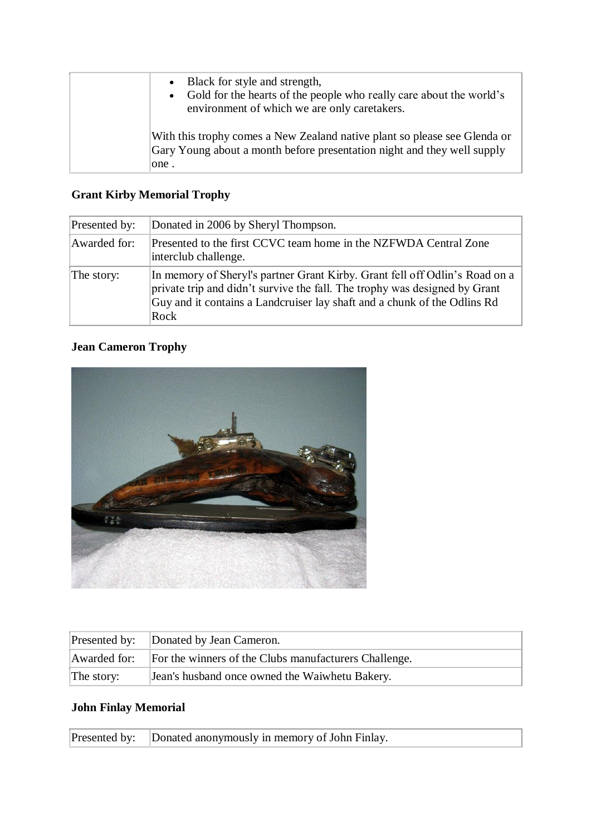| • Black for style and strength,<br>• Gold for the hearts of the people who really care about the world's<br>environment of which we are only caretakers.     |
|--------------------------------------------------------------------------------------------------------------------------------------------------------------|
| With this trophy comes a New Zealand native plant so please see Glenda or<br>Gary Young about a month before presentation night and they well supply<br>one. |

## **Grant Kirby Memorial Trophy**

| Presented by: | Donated in 2006 by Sheryl Thompson.                                                                                                                                                                                                           |
|---------------|-----------------------------------------------------------------------------------------------------------------------------------------------------------------------------------------------------------------------------------------------|
| Awarded for:  | Presented to the first CCVC team home in the NZFWDA Central Zone<br>interclub challenge.                                                                                                                                                      |
| The story:    | In memory of Sheryl's partner Grant Kirby. Grant fell off Odlin's Road on a<br>private trip and didn't survive the fall. The trophy was designed by Grant<br>Guy and it contains a Landcruiser lay shaft and a chunk of the Odlins Rd<br>Rock |

# **Jean Cameron Trophy**



|              | Presented by: Donated by Jean Cameron.                |
|--------------|-------------------------------------------------------|
| Awarded for: | For the winners of the Clubs manufacturers Challenge. |
| The story:   | Jean's husband once owned the Waiwhetu Bakery.        |

## **John Finlay Memorial**

| Presented by: Donated anonymously in memory of John Finlay. |
|-------------------------------------------------------------|
|-------------------------------------------------------------|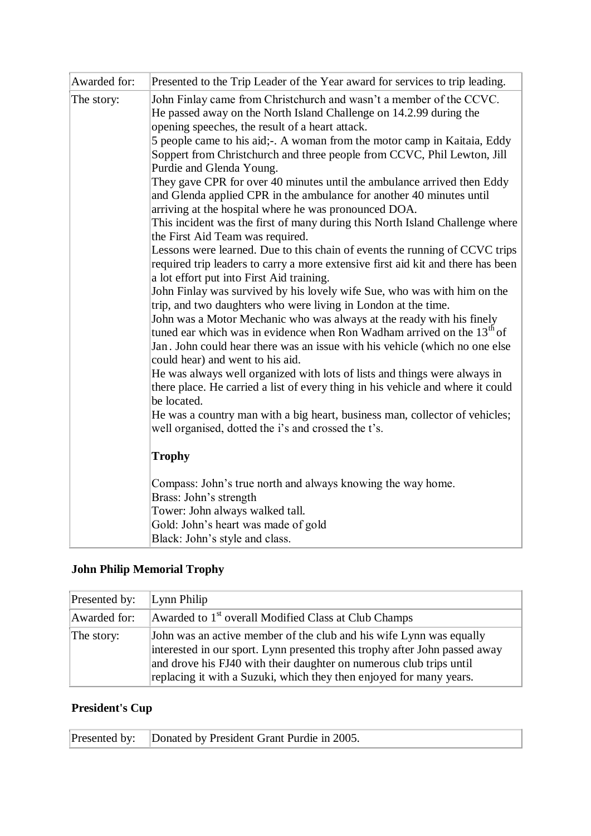| Awarded for: | Presented to the Trip Leader of the Year award for services to trip leading.                                                                                                                                                                                                   |
|--------------|--------------------------------------------------------------------------------------------------------------------------------------------------------------------------------------------------------------------------------------------------------------------------------|
| The story:   | John Finlay came from Christchurch and wasn't a member of the CCVC.<br>He passed away on the North Island Challenge on 14.2.99 during the<br>opening speeches, the result of a heart attack.                                                                                   |
|              | 5 people came to his aid;-. A woman from the motor camp in Kaitaia, Eddy<br>Soppert from Christchurch and three people from CCVC, Phil Lewton, Jill<br>Purdie and Glenda Young.                                                                                                |
|              | They gave CPR for over 40 minutes until the ambulance arrived then Eddy<br>and Glenda applied CPR in the ambulance for another 40 minutes until                                                                                                                                |
|              | arriving at the hospital where he was pronounced DOA.<br>This incident was the first of many during this North Island Challenge where<br>the First Aid Team was required.                                                                                                      |
|              | Lessons were learned. Due to this chain of events the running of CCVC trips<br>required trip leaders to carry a more extensive first aid kit and there has been<br>a lot effort put into First Aid training.                                                                   |
|              | John Finlay was survived by his lovely wife Sue, who was with him on the<br>trip, and two daughters who were living in London at the time.                                                                                                                                     |
|              | John was a Motor Mechanic who was always at the ready with his finely<br>tuned ear which was in evidence when Ron Wadham arrived on the 13 <sup>th</sup> of<br>Jan. John could hear there was an issue with his vehicle (which no one else<br>could hear) and went to his aid. |
|              | He was always well organized with lots of lists and things were always in<br>there place. He carried a list of every thing in his vehicle and where it could                                                                                                                   |
|              | be located.<br>He was a country man with a big heart, business man, collector of vehicles;<br>well organised, dotted the i's and crossed the t's.                                                                                                                              |
|              | <b>Trophy</b>                                                                                                                                                                                                                                                                  |
|              | Compass: John's true north and always knowing the way home.<br>Brass: John's strength                                                                                                                                                                                          |
|              | Tower: John always walked tall.<br>Gold: John's heart was made of gold<br>Black: John's style and class.                                                                                                                                                                       |

## **John Philip Memorial Trophy**

| Presented by: | $L$ ynn Philip                                                                                                                                                                                                                                                                                  |
|---------------|-------------------------------------------------------------------------------------------------------------------------------------------------------------------------------------------------------------------------------------------------------------------------------------------------|
| Awarded for:  | Awarded to 1 <sup>st</sup> overall Modified Class at Club Champs                                                                                                                                                                                                                                |
| The story:    | John was an active member of the club and his wife Lynn was equally<br>interested in our sport. Lynn presented this trophy after John passed away<br>and drove his FJ40 with their daughter on numerous club trips until<br>replacing it with a Suzuki, which they then enjoyed for many years. |

## **President's Cup**

|  | Presented by: Donated by President Grant Purdie in 2005. |
|--|----------------------------------------------------------|
|--|----------------------------------------------------------|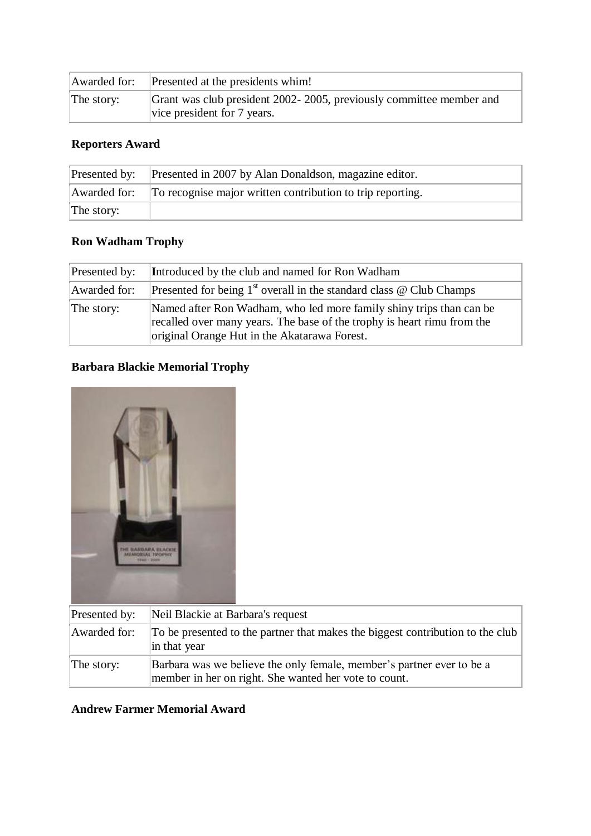| Awarded for: | Presented at the presidents whim!                                                                  |
|--------------|----------------------------------------------------------------------------------------------------|
| The story:   | Grant was club president 2002-2005, previously committee member and<br>vice president for 7 years. |

## **Reporters Award**

|              | Presented by: Presented in 2007 by Alan Donaldson, magazine editor. |
|--------------|---------------------------------------------------------------------|
| Awarded for: | To recognise major written contribution to trip reporting.          |
| The story:   |                                                                     |

## **Ron Wadham Trophy**

| Presented by: | Introduced by the club and named for Ron Wadham                                                                                                                                                |
|---------------|------------------------------------------------------------------------------------------------------------------------------------------------------------------------------------------------|
| Awarded for:  | Presented for being $1st$ overall in the standard class $\omega$ Club Champs                                                                                                                   |
| The story:    | Named after Ron Wadham, who led more family shiny trips than can be<br>recalled over many years. The base of the trophy is heart rimu from the<br>original Orange Hut in the Akatarawa Forest. |

# **Barbara Blackie Memorial Trophy**



| Presented by: | Neil Blackie at Barbara's request                                                                                              |
|---------------|--------------------------------------------------------------------------------------------------------------------------------|
| Awarded for:  | To be presented to the partner that makes the biggest contribution to the club<br>in that year                                 |
| The story:    | Barbara was we believe the only female, member's partner ever to be a<br>member in her on right. She wanted her vote to count. |

#### **Andrew Farmer Memorial Award**